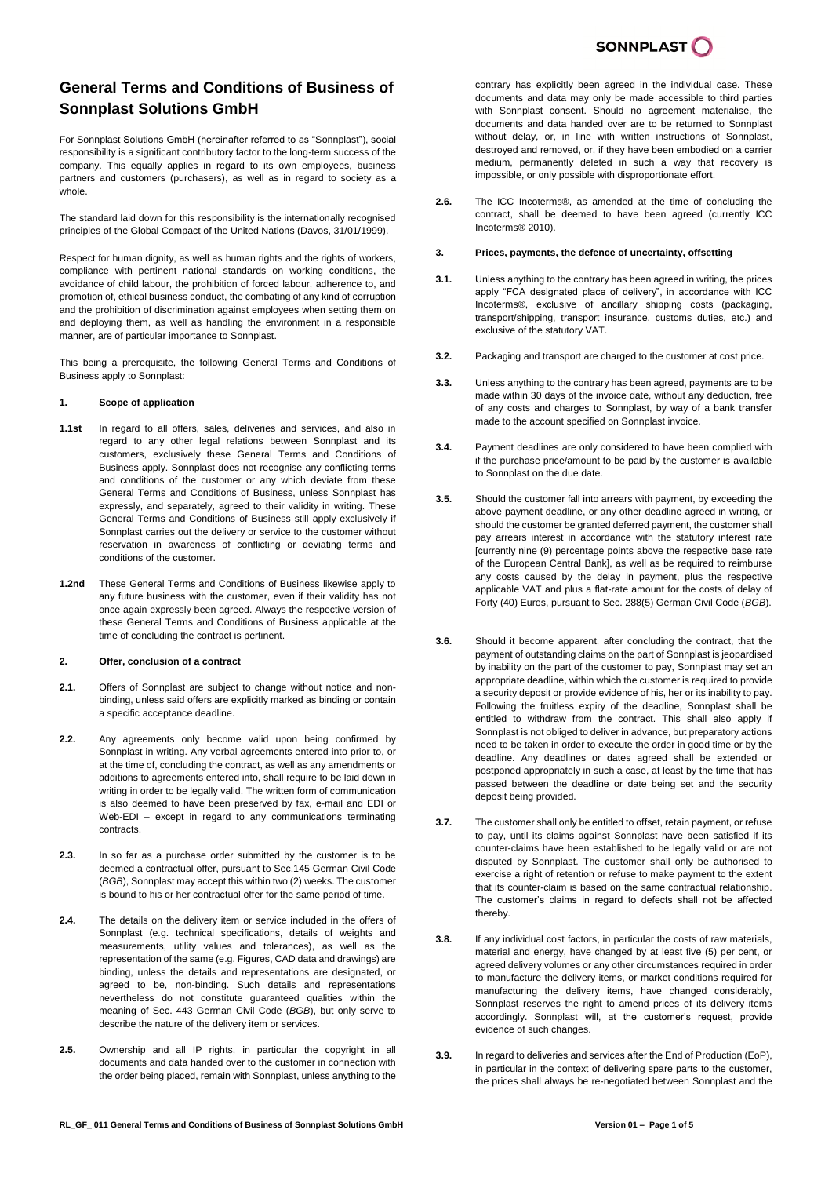# **General Terms and Conditions of Business of Sonnplast Solutions GmbH**

For Sonnplast Solutions GmbH (hereinafter referred to as "Sonnplast"), social responsibility is a significant contributory factor to the long-term success of the company. This equally applies in regard to its own employees, business partners and customers (purchasers), as well as in regard to society as a whole.

The standard laid down for this responsibility is the internationally recognised principles of the Global Compact of the United Nations (Davos, 31/01/1999).

Respect for human dignity, as well as human rights and the rights of workers, compliance with pertinent national standards on working conditions, the avoidance of child labour, the prohibition of forced labour, adherence to, and promotion of, ethical business conduct, the combating of any kind of corruption and the prohibition of discrimination against employees when setting them on and deploying them, as well as handling the environment in a responsible manner, are of particular importance to Sonnplast.

This being a prerequisite, the following General Terms and Conditions of Business apply to Sonnplast:

## **1. Scope of application**

- **1.1st** In regard to all offers, sales, deliveries and services, and also in regard to any other legal relations between Sonnplast and its customers, exclusively these General Terms and Conditions of Business apply. Sonnplast does not recognise any conflicting terms and conditions of the customer or any which deviate from these General Terms and Conditions of Business, unless Sonnplast has expressly, and separately, agreed to their validity in writing. These General Terms and Conditions of Business still apply exclusively if Sonnplast carries out the delivery or service to the customer without reservation in awareness of conflicting or deviating terms and conditions of the customer.
- **1.2nd** These General Terms and Conditions of Business likewise apply to any future business with the customer, even if their validity has not once again expressly been agreed. Always the respective version of these General Terms and Conditions of Business applicable at the time of concluding the contract is pertinent.

## **2. Offer, conclusion of a contract**

- **2.1.** Offers of Sonnplast are subject to change without notice and nonbinding, unless said offers are explicitly marked as binding or contain a specific acceptance deadline.
- **2.2.** Any agreements only become valid upon being confirmed by Sonnplast in writing. Any verbal agreements entered into prior to, or at the time of, concluding the contract, as well as any amendments or additions to agreements entered into, shall require to be laid down in writing in order to be legally valid. The written form of communication is also deemed to have been preserved by fax, e-mail and EDI or Web-EDI – except in regard to any communications terminating contracts.
- **2.3.** In so far as a purchase order submitted by the customer is to be deemed a contractual offer, pursuant to Sec.145 German Civil Code (*BGB*), Sonnplast may accept this within two (2) weeks. The customer is bound to his or her contractual offer for the same period of time.
- **2.4.** The details on the delivery item or service included in the offers of Sonnplast (e.g. technical specifications, details of weights and measurements, utility values and tolerances), as well as the representation of the same (e.g. Figures, CAD data and drawings) are binding, unless the details and representations are designated, or agreed to be, non-binding. Such details and representations nevertheless do not constitute guaranteed qualities within the meaning of Sec. 443 German Civil Code (*BGB*), but only serve to describe the nature of the delivery item or services.
- **2.5.** Ownership and all IP rights, in particular the copyright in all documents and data handed over to the customer in connection with the order being placed, remain with Sonnplast, unless anything to the

contrary has explicitly been agreed in the individual case. These documents and data may only be made accessible to third parties with Sonnplast consent. Should no agreement materialise, the documents and data handed over are to be returned to Sonnplast without delay, or, in line with written instructions of Sonnplast, destroyed and removed, or, if they have been embodied on a carrier medium, permanently deleted in such a way that recovery is impossible, or only possible with disproportionate effort.

**2.6.** The ICC Incoterms®, as amended at the time of concluding the contract, shall be deemed to have been agreed (currently ICC Incoterms® 2010).

## **3. Prices, payments, the defence of uncertainty, offsetting**

- **3.1.** Unless anything to the contrary has been agreed in writing, the prices apply "FCA designated place of delivery", in accordance with ICC Incoterms®, exclusive of ancillary shipping costs (packaging, transport/shipping, transport insurance, customs duties, etc.) and exclusive of the statutory VAT.
- **3.2.** Packaging and transport are charged to the customer at cost price.
- **3.3.** Unless anything to the contrary has been agreed, payments are to be made within 30 days of the invoice date, without any deduction, free of any costs and charges to Sonnplast, by way of a bank transfer made to the account specified on Sonnplast invoice.
- **3.4.** Payment deadlines are only considered to have been complied with if the purchase price/amount to be paid by the customer is available to Sonnplast on the due date.
- **3.5.** Should the customer fall into arrears with payment, by exceeding the above payment deadline, or any other deadline agreed in writing, or should the customer be granted deferred payment, the customer shall pay arrears interest in accordance with the statutory interest rate [currently nine (9) percentage points above the respective base rate of the European Central Bank], as well as be required to reimburse any costs caused by the delay in payment, plus the respective applicable VAT and plus a flat-rate amount for the costs of delay of Forty (40) Euros, pursuant to Sec. 288(5) German Civil Code (*BGB*).
- **3.6.** Should it become apparent, after concluding the contract, that the payment of outstanding claims on the part of Sonnplast is jeopardised by inability on the part of the customer to pay, Sonnplast may set an appropriate deadline, within which the customer is required to provide a security deposit or provide evidence of his, her or its inability to pay. Following the fruitless expiry of the deadline, Sonnplast shall be entitled to withdraw from the contract. This shall also apply if Sonnplast is not obliged to deliver in advance, but preparatory actions need to be taken in order to execute the order in good time or by the deadline. Any deadlines or dates agreed shall be extended or postponed appropriately in such a case, at least by the time that has passed between the deadline or date being set and the security deposit being provided.
- **3.7.** The customer shall only be entitled to offset, retain payment, or refuse to pay, until its claims against Sonnplast have been satisfied if its counter-claims have been established to be legally valid or are not disputed by Sonnplast. The customer shall only be authorised to exercise a right of retention or refuse to make payment to the extent that its counter-claim is based on the same contractual relationship. The customer's claims in regard to defects shall not be affected thereby.
- **3.8.** If any individual cost factors, in particular the costs of raw materials, material and energy, have changed by at least five (5) per cent, or agreed delivery volumes or any other circumstances required in order to manufacture the delivery items, or market conditions required for manufacturing the delivery items, have changed considerably, Sonnplast reserves the right to amend prices of its delivery items accordingly. Sonnplast will, at the customer's request, provide evidence of such changes.
- **3.9.** In regard to deliveries and services after the End of Production (EoP), in particular in the context of delivering spare parts to the customer the prices shall always be re-negotiated between Sonnplast and the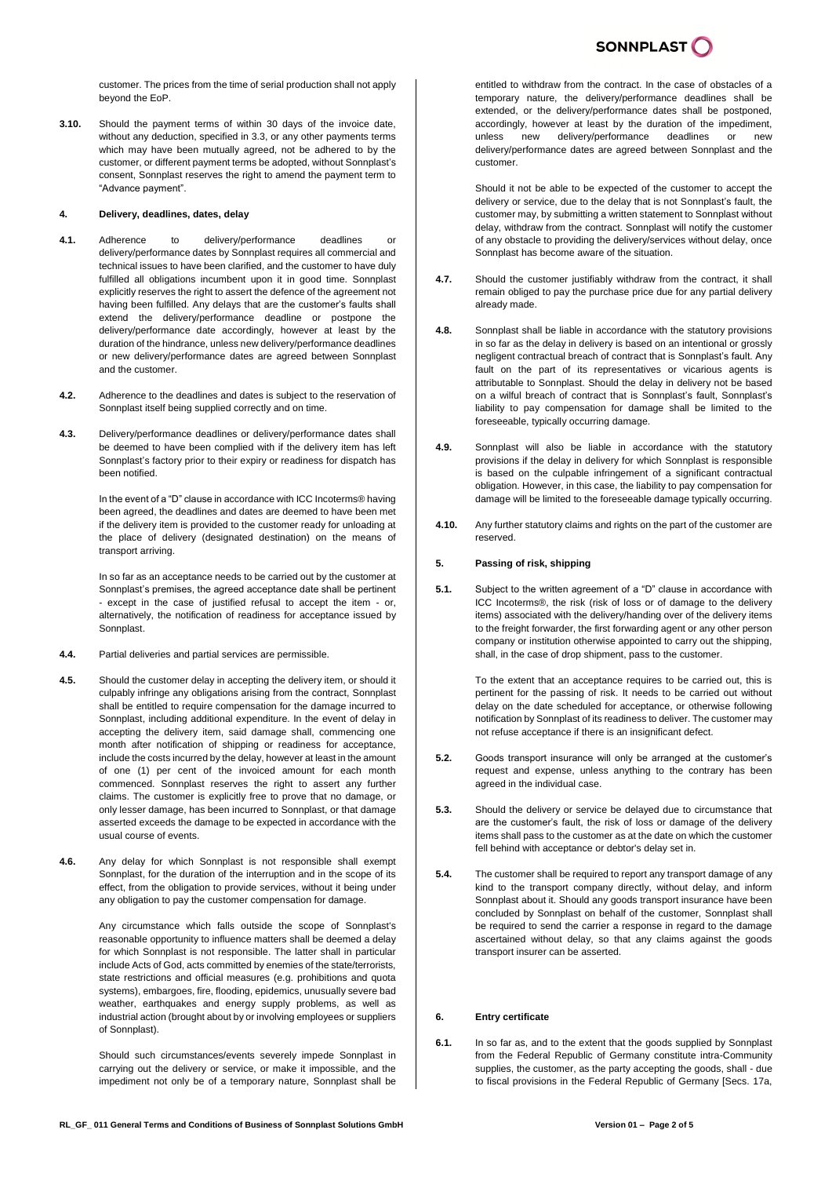

customer. The prices from the time of serial production shall not apply beyond the EoP.

**3.10.** Should the payment terms of within 30 days of the invoice date, without any deduction, specified in 3.3, or any other payments terms which may have been mutually agreed, not be adhered to by the customer, or different payment terms be adopted, without Sonnplast's consent, Sonnplast reserves the right to amend the payment term to "Advance payment".

#### **4. Delivery, deadlines, dates, delay**

- **4.1.** Adherence to delivery/performance deadlines or delivery/performance dates by Sonnplast requires all commercial and technical issues to have been clarified, and the customer to have duly fulfilled all obligations incumbent upon it in good time. Sonnplast explicitly reserves the right to assert the defence of the agreement not having been fulfilled. Any delays that are the customer's faults shall extend the delivery/performance deadline or postpone the delivery/performance date accordingly, however at least by the duration of the hindrance, unless new delivery/performance deadlines or new delivery/performance dates are agreed between Sonnplast and the customer.
- **4.2.** Adherence to the deadlines and dates is subject to the reservation of Sonnplast itself being supplied correctly and on time.
- **4.3.** Delivery/performance deadlines or delivery/performance dates shall be deemed to have been complied with if the delivery item has left Sonnplast's factory prior to their expiry or readiness for dispatch has been notified.

In the event of a "D" clause in accordance with ICC Incoterms® having been agreed, the deadlines and dates are deemed to have been met if the delivery item is provided to the customer ready for unloading at the place of delivery (designated destination) on the means of transport arriving.

In so far as an acceptance needs to be carried out by the customer at Sonnplast's premises, the agreed acceptance date shall be pertinent - except in the case of justified refusal to accept the item - or, alternatively, the notification of readiness for acceptance issued by Sonnplast.

- **4.4.** Partial deliveries and partial services are permissible.
- **4.5.** Should the customer delay in accepting the delivery item, or should it culpably infringe any obligations arising from the contract, Sonnplast shall be entitled to require compensation for the damage incurred to Sonnplast, including additional expenditure. In the event of delay in accepting the delivery item, said damage shall, commencing one month after notification of shipping or readiness for acceptance, include the costs incurred by the delay, however at least in the amount of one (1) per cent of the invoiced amount for each month commenced. Sonnplast reserves the right to assert any further claims. The customer is explicitly free to prove that no damage, or only lesser damage, has been incurred to Sonnplast, or that damage asserted exceeds the damage to be expected in accordance with the usual course of events.
- **4.6.** Any delay for which Sonnplast is not responsible shall exempt Sonnplast, for the duration of the interruption and in the scope of its effect, from the obligation to provide services, without it being under any obligation to pay the customer compensation for damage.

Any circumstance which falls outside the scope of Sonnplast's reasonable opportunity to influence matters shall be deemed a delay for which Sonnplast is not responsible. The latter shall in particular include Acts of God, acts committed by enemies of the state/terrorists, state restrictions and official measures (e.g. prohibitions and quota systems), embargoes, fire, flooding, epidemics, unusually severe bad weather, earthquakes and energy supply problems, as well as industrial action (brought about by or involving employees or suppliers of Sonnplast).

Should such circumstances/events severely impede Sonnplast in carrying out the delivery or service, or make it impossible, and the impediment not only be of a temporary nature, Sonnplast shall be entitled to withdraw from the contract. In the case of obstacles of a temporary nature, the delivery/performance deadlines shall be extended, or the delivery/performance dates shall be postponed, accordingly, however at least by the duration of the impediment, unless new delivery/performance deadlines or new delivery/performance dates are agreed between Sonnplast and the customer.

Should it not be able to be expected of the customer to accept the delivery or service, due to the delay that is not Sonnplast's fault, the customer may, by submitting a written statement to Sonnplast without delay, withdraw from the contract. Sonnplast will notify the customer of any obstacle to providing the delivery/services without delay, once Sonnplast has become aware of the situation.

- **4.7.** Should the customer justifiably withdraw from the contract, it shall remain obliged to pay the purchase price due for any partial delivery already made.
- **4.8.** Sonnplast shall be liable in accordance with the statutory provisions in so far as the delay in delivery is based on an intentional or grossly negligent contractual breach of contract that is Sonnplast's fault. Any fault on the part of its representatives or vicarious agents is attributable to Sonnplast. Should the delay in delivery not be based on a wilful breach of contract that is Sonnplast's fault, Sonnplast's liability to pay compensation for damage shall be limited to the foreseeable, typically occurring damage.
- **4.9.** Sonnplast will also be liable in accordance with the statutory provisions if the delay in delivery for which Sonnplast is responsible is based on the culpable infringement of a significant contractual obligation. However, in this case, the liability to pay compensation for damage will be limited to the foreseeable damage typically occurring.
- **4.10.** Any further statutory claims and rights on the part of the customer are reserved.

#### **5. Passing of risk, shipping**

**5.1.** Subject to the written agreement of a "D" clause in accordance with ICC Incoterms®, the risk (risk of loss or of damage to the delivery items) associated with the delivery/handing over of the delivery items to the freight forwarder, the first forwarding agent or any other person company or institution otherwise appointed to carry out the shipping, shall, in the case of drop shipment, pass to the customer.

> To the extent that an acceptance requires to be carried out, this is pertinent for the passing of risk. It needs to be carried out without delay on the date scheduled for acceptance, or otherwise following notification by Sonnplast of its readiness to deliver. The customer may not refuse acceptance if there is an insignificant defect.

- **5.2.** Goods transport insurance will only be arranged at the customer's request and expense, unless anything to the contrary has been agreed in the individual case.
- **5.3.** Should the delivery or service be delayed due to circumstance that are the customer's fault, the risk of loss or damage of the delivery items shall pass to the customer as at the date on which the customer fell behind with acceptance or debtor's delay set in.
- **5.4.** The customer shall be required to report any transport damage of any kind to the transport company directly, without delay, and inform Sonnplast about it. Should any goods transport insurance have been concluded by Sonnplast on behalf of the customer, Sonnplast shall be required to send the carrier a response in regard to the damage ascertained without delay, so that any claims against the goods transport insurer can be asserted.

## **6. Entry certificate**

**6.1.** In so far as, and to the extent that the goods supplied by Sonnplast from the Federal Republic of Germany constitute intra-Community supplies, the customer, as the party accepting the goods, shall - due to fiscal provisions in the Federal Republic of Germany [Secs. 17a,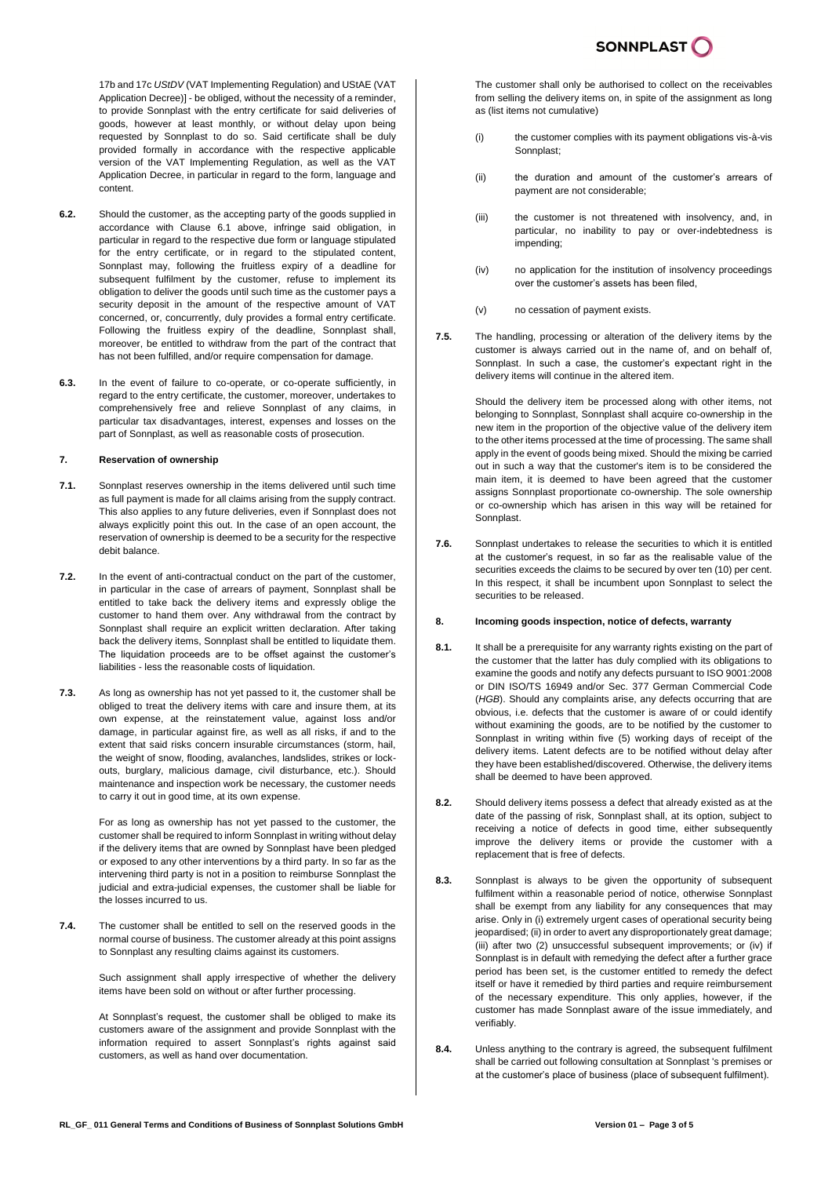17b and 17c *UStDV* (VAT Implementing Regulation) and UStAE (VAT Application Decree)] - be obliged, without the necessity of a reminder, to provide Sonnplast with the entry certificate for said deliveries of goods, however at least monthly, or without delay upon being requested by Sonnplast to do so. Said certificate shall be duly provided formally in accordance with the respective applicable version of the VAT Implementing Regulation, as well as the VAT Application Decree, in particular in regard to the form, language and content.

- **6.2.** Should the customer, as the accepting party of the goods supplied in accordance with Clause 6.1 above, infringe said obligation, in particular in regard to the respective due form or language stipulated for the entry certificate, or in regard to the stipulated content, Sonnplast may, following the fruitless expiry of a deadline for subsequent fulfilment by the customer, refuse to implement its obligation to deliver the goods until such time as the customer pays a security deposit in the amount of the respective amount of VAT concerned, or, concurrently, duly provides a formal entry certificate. Following the fruitless expiry of the deadline, Sonnplast shall, moreover, be entitled to withdraw from the part of the contract that has not been fulfilled, and/or require compensation for damage.
- **6.3.** In the event of failure to co-operate, or co-operate sufficiently, in regard to the entry certificate, the customer, moreover, undertakes to comprehensively free and relieve Sonnplast of any claims, in particular tax disadvantages, interest, expenses and losses on the part of Sonnplast, as well as reasonable costs of prosecution.

#### **7. Reservation of ownership**

- **7.1.** Sonnplast reserves ownership in the items delivered until such time as full payment is made for all claims arising from the supply contract. This also applies to any future deliveries, even if Sonnplast does not always explicitly point this out. In the case of an open account, the reservation of ownership is deemed to be a security for the respective debit balance.
- **7.2.** In the event of anti-contractual conduct on the part of the customer, in particular in the case of arrears of payment, Sonnplast shall be entitled to take back the delivery items and expressly oblige the customer to hand them over. Any withdrawal from the contract by Sonnplast shall require an explicit written declaration. After taking back the delivery items. Sonnplast shall be entitled to liquidate them. The liquidation proceeds are to be offset against the customer's liabilities - less the reasonable costs of liquidation.
- **7.3.** As long as ownership has not yet passed to it, the customer shall be obliged to treat the delivery items with care and insure them, at its own expense, at the reinstatement value, against loss and/or damage, in particular against fire, as well as all risks, if and to the extent that said risks concern insurable circumstances (storm, hail, the weight of snow, flooding, avalanches, landslides, strikes or lockouts, burglary, malicious damage, civil disturbance, etc.). Should maintenance and inspection work be necessary, the customer needs to carry it out in good time, at its own expense.

For as long as ownership has not yet passed to the customer, the customer shall be required to inform Sonnplast in writing without delay if the delivery items that are owned by Sonnplast have been pledged or exposed to any other interventions by a third party. In so far as the intervening third party is not in a position to reimburse Sonnplast the judicial and extra-judicial expenses, the customer shall be liable for the losses incurred to us.

**7.4.** The customer shall be entitled to sell on the reserved goods in the normal course of business. The customer already at this point assigns to Sonnplast any resulting claims against its customers.

> Such assignment shall apply irrespective of whether the delivery items have been sold on without or after further processing.

> At Sonnplast's request, the customer shall be obliged to make its customers aware of the assignment and provide Sonnplast with the information required to assert Sonnplast's rights against said customers, as well as hand over documentation.

The customer shall only be authorised to collect on the receivables from selling the delivery items on, in spite of the assignment as long as (list items not cumulative)

- (i) the customer complies with its payment obligations vis-à-vis Sonnplast;
- (ii) the duration and amount of the customer's arrears of payment are not considerable;
- (iii) the customer is not threatened with insolvency, and, in particular, no inability to pay or over-indebtedness is impending;
- (iv) no application for the institution of insolvency proceedings over the customer's assets has been filed,
- (v) no cessation of payment exists.
- **7.5.** The handling, processing or alteration of the delivery items by the customer is always carried out in the name of, and on behalf of, Sonnplast. In such a case, the customer's expectant right in the delivery items will continue in the altered item.

Should the delivery item be processed along with other items, not belonging to Sonnplast, Sonnplast shall acquire co-ownership in the new item in the proportion of the objective value of the delivery item to the other items processed at the time of processing. The same shall apply in the event of goods being mixed. Should the mixing be carried out in such a way that the customer's item is to be considered the main item, it is deemed to have been agreed that the customer assigns Sonnplast proportionate co-ownership. The sole ownership or co-ownership which has arisen in this way will be retained for **Sonnplast** 

**7.6.** Sonnplast undertakes to release the securities to which it is entitled at the customer's request, in so far as the realisable value of the securities exceeds the claims to be secured by over ten (10) per cent. In this respect, it shall be incumbent upon Sonnplast to select the securities to be released.

## **8. Incoming goods inspection, notice of defects, warranty**

- **8.1.** It shall be a prerequisite for any warranty rights existing on the part of the customer that the latter has duly complied with its obligations to examine the goods and notify any defects pursuant to ISO 9001:2008 or DIN ISO/TS 16949 and/or Sec. 377 German Commercial Code (*HGB*). Should any complaints arise, any defects occurring that are obvious, i.e. defects that the customer is aware of or could identify without examining the goods, are to be notified by the customer to Sonnplast in writing within five (5) working days of receipt of the delivery items. Latent defects are to be notified without delay after they have been established/discovered. Otherwise, the delivery items shall be deemed to have been approved.
- **8.2.** Should delivery items possess a defect that already existed as at the date of the passing of risk, Sonnplast shall, at its option, subject to receiving a notice of defects in good time, either subsequently improve the delivery items or provide the customer with a replacement that is free of defects.
- **8.3.** Sonnplast is always to be given the opportunity of subsequent fulfilment within a reasonable period of notice, otherwise Sonnplast shall be exempt from any liability for any consequences that may arise. Only in (i) extremely urgent cases of operational security being jeopardised; (ii) in order to avert any disproportionately great damage; (iii) after two (2) unsuccessful subsequent improvements; or (iv) if Sonnplast is in default with remedying the defect after a further grace period has been set, is the customer entitled to remedy the defect itself or have it remedied by third parties and require reimbursement of the necessary expenditure. This only applies, however, if the customer has made Sonnplast aware of the issue immediately, and verifiably.
- **8.4.** Unless anything to the contrary is agreed, the subsequent fulfilment shall be carried out following consultation at Sonnplast 's premises or at the customer's place of business (place of subsequent fulfilment).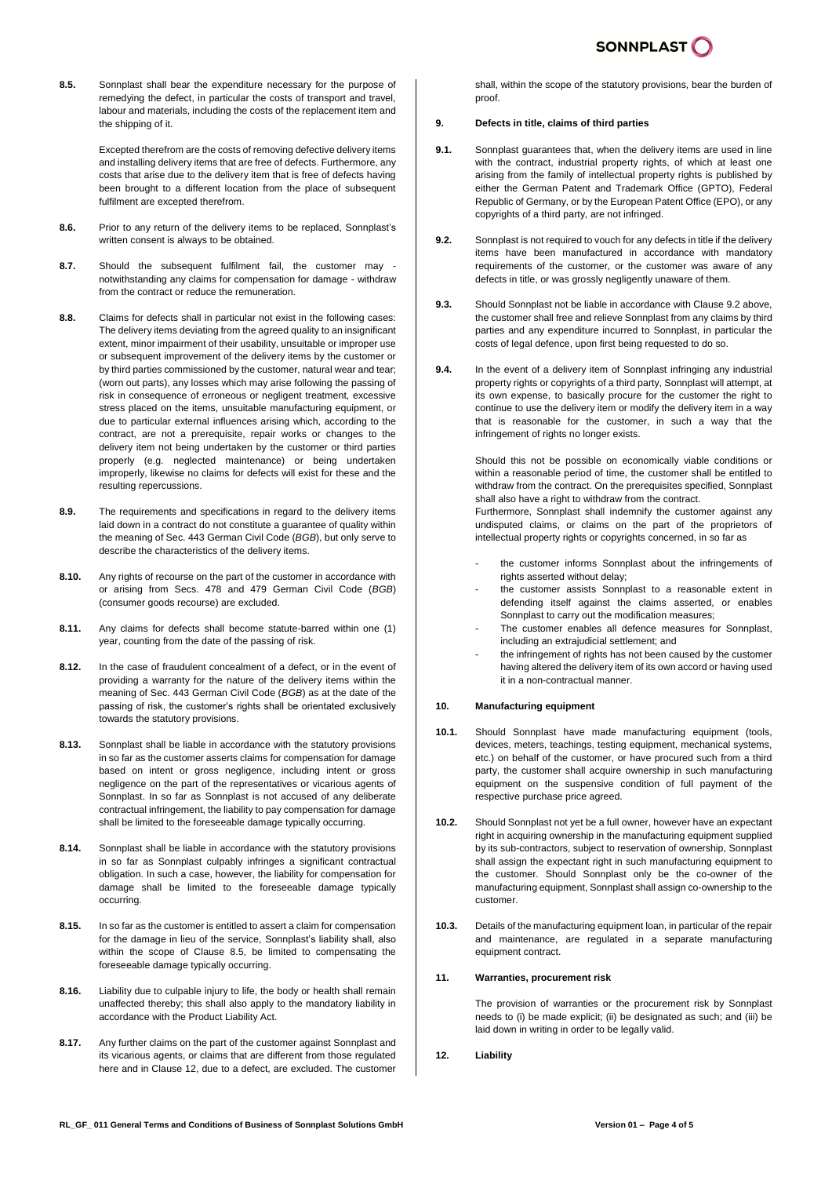**8.5.** Sonnplast shall bear the expenditure necessary for the purpose of remedying the defect, in particular the costs of transport and travel, labour and materials, including the costs of the replacement item and the shipping of it.

> Excepted therefrom are the costs of removing defective delivery items and installing delivery items that are free of defects. Furthermore, any costs that arise due to the delivery item that is free of defects having been brought to a different location from the place of subsequent fulfilment are excepted therefrom.

- **8.6.** Prior to any return of the delivery items to be replaced, Sonnplast's written consent is always to be obtained.
- **8.7.** Should the subsequent fulfilment fail, the customer may notwithstanding any claims for compensation for damage - withdraw from the contract or reduce the remuneration.
- **8.8.** Claims for defects shall in particular not exist in the following cases: The delivery items deviating from the agreed quality to an insignificant extent, minor impairment of their usability, unsuitable or improper use or subsequent improvement of the delivery items by the customer or by third parties commissioned by the customer, natural wear and tear; (worn out parts), any losses which may arise following the passing of risk in consequence of erroneous or negligent treatment, excessive stress placed on the items, unsuitable manufacturing equipment, or due to particular external influences arising which, according to the contract, are not a prerequisite, repair works or changes to the delivery item not being undertaken by the customer or third parties properly (e.g. neglected maintenance) or being undertaken improperly, likewise no claims for defects will exist for these and the resulting repercussions.
- **8.9.** The requirements and specifications in regard to the delivery items laid down in a contract do not constitute a guarantee of quality within the meaning of Sec. 443 German Civil Code (*BGB*), but only serve to describe the characteristics of the delivery items.
- **8.10.** Any rights of recourse on the part of the customer in accordance with or arising from Secs. 478 and 479 German Civil Code (*BGB*) (consumer goods recourse) are excluded.
- **8.11.** Any claims for defects shall become statute-barred within one (1) year, counting from the date of the passing of risk.
- **8.12.** In the case of fraudulent concealment of a defect, or in the event of providing a warranty for the nature of the delivery items within the meaning of Sec. 443 German Civil Code (*BGB*) as at the date of the passing of risk, the customer's rights shall be orientated exclusively towards the statutory provisions.
- **8.13.** Sonnplast shall be liable in accordance with the statutory provisions in so far as the customer asserts claims for compensation for damage based on intent or gross negligence, including intent or gross negligence on the part of the representatives or vicarious agents of Sonnplast. In so far as Sonnplast is not accused of any deliberate contractual infringement, the liability to pay compensation for damage shall be limited to the foreseeable damage typically occurring.
- **8.14.** Sonnplast shall be liable in accordance with the statutory provisions in so far as Sonnplast culpably infringes a significant contractual obligation. In such a case, however, the liability for compensation for damage shall be limited to the foreseeable damage typically occurring.
- **8.15.** In so far as the customer is entitled to assert a claim for compensation for the damage in lieu of the service, Sonnplast's liability shall, also within the scope of Clause 8.5, be limited to compensating the foreseeable damage typically occurring.
- **8.16.** Liability due to culpable injury to life, the body or health shall remain unaffected thereby; this shall also apply to the mandatory liability in accordance with the Product Liability Act.
- **8.17.** Any further claims on the part of the customer against Sonnplast and its vicarious agents, or claims that are different from those regulated here and in Clause 12, due to a defect, are excluded. The customer

shall, within the scope of the statutory provisions, bear the burden of proof.

# **9. Defects in title, claims of third parties**

- **9.1.** Sonnplast guarantees that, when the delivery items are used in line with the contract, industrial property rights, of which at least one arising from the family of intellectual property rights is published by either the German Patent and Trademark Office (GPTO), Federal Republic of Germany, or by the European Patent Office (EPO), or any copyrights of a third party, are not infringed.
- **9.2.** Sonnplast is not required to youch for any defects in title if the delivery items have been manufactured in accordance with mandatory requirements of the customer, or the customer was aware of any defects in title, or was grossly negligently unaware of them.
- **9.3.** Should Sonnplast not be liable in accordance with Clause 9.2 above, the customer shall free and relieve Sonnplast from any claims by third parties and any expenditure incurred to Sonnplast, in particular the costs of legal defence, upon first being requested to do so.
- **9.4.** In the event of a delivery item of Sonnplast infringing any industrial property rights or copyrights of a third party, Sonnplast will attempt, at its own expense, to basically procure for the customer the right to continue to use the delivery item or modify the delivery item in a way that is reasonable for the customer, in such a way that the infringement of rights no longer exists.

Should this not be possible on economically viable conditions or within a reasonable period of time, the customer shall be entitled to withdraw from the contract. On the prerequisites specified, Sonnplast shall also have a right to withdraw from the contract.

Furthermore, Sonnplast shall indemnify the customer against any undisputed claims, or claims on the part of the proprietors of intellectual property rights or copyrights concerned, in so far as

- the customer informs Sonnplast about the infringements of rights asserted without delay;
- the customer assists Sonnplast to a reasonable extent in defending itself against the claims asserted, or enables Sonnplast to carry out the modification measures;
- The customer enables all defence measures for Sonnplast, including an extrajudicial settlement; and
- the infringement of rights has not been caused by the customer having altered the delivery item of its own accord or having used it in a non-contractual manner.

#### **10. Manufacturing equipment**

- **10.1.** Should Sonnplast have made manufacturing equipment (tools, devices, meters, teachings, testing equipment, mechanical systems, etc.) on behalf of the customer, or have procured such from a third party, the customer shall acquire ownership in such manufacturing equipment on the suspensive condition of full payment of the respective purchase price agreed.
- **10.2.** Should Sonnplast not yet be a full owner, however have an expectant right in acquiring ownership in the manufacturing equipment supplied by its sub-contractors, subject to reservation of ownership, Sonnplast shall assign the expectant right in such manufacturing equipment to the customer. Should Sonnplast only be the co-owner of the manufacturing equipment, Sonnplast shall assign co-ownership to the customer.
- **10.3.** Details of the manufacturing equipment loan, in particular of the repair and maintenance, are regulated in a separate manufacturing equipment contract.

#### **11. Warranties, procurement risk**

The provision of warranties or the procurement risk by Sonnplast needs to (i) be made explicit; (ii) be designated as such; and (iii) be laid down in writing in order to be legally valid.

## **12. Liability**